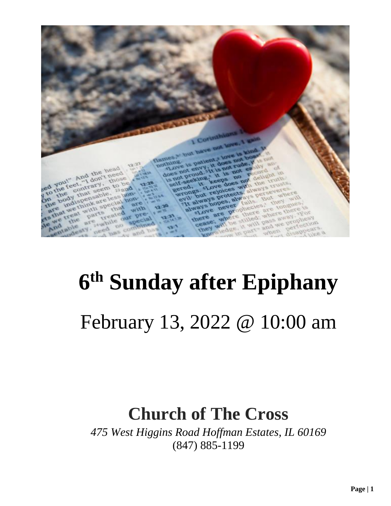

# **6 th Sunday after Epiphany** February 13, 2022 @ 10:00 am

## **Church of The Cross**

*475 West Higgins Road Hoffman Estates, IL 60169* (847) 885-1199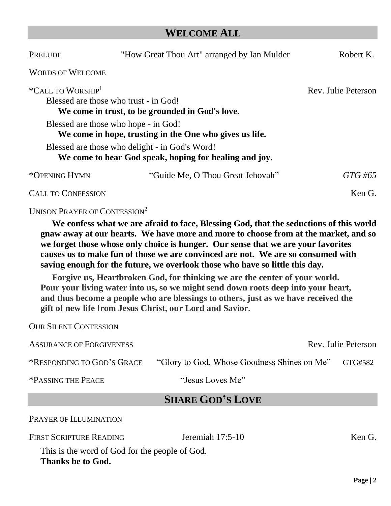#### **WELCOME ALL**

| PRELUDE                                                                                                                   | "How Great Thou Art" arranged by Ian Mulder                                                              | Robert K.  |
|---------------------------------------------------------------------------------------------------------------------------|----------------------------------------------------------------------------------------------------------|------------|
| <b>WORDS OF WELCOME</b>                                                                                                   |                                                                                                          |            |
| *CALL TO WORSHIP <sup>1</sup><br>Blessed are those who trust - in God!<br>We come in trust, to be grounded in God's love. | Rev. Julie Peterson                                                                                      |            |
|                                                                                                                           | Blessed are those who hope - in God!<br>We come in hope, trusting in the One who gives us life.          |            |
|                                                                                                                           | Blessed are those who delight - in God's Word!<br>We come to hear God speak, hoping for healing and joy. |            |
| *OPENING HYMN                                                                                                             | "Guide Me, O Thou Great Jehovah"                                                                         | $GTG \#65$ |
| <b>CALL TO CONFESSION</b>                                                                                                 |                                                                                                          | Ken G.     |

UNISON PRAYER OF CONFESSION<sup>2</sup>

OUR SILENT CONFESSION

**We confess what we are afraid to face, Blessing God, that the seductions of this world gnaw away at our hearts. We have more and more to choose from at the market, and so we forget those whose only choice is hunger. Our sense that we are your favorites causes us to make fun of those we are convinced are not. We are so consumed with saving enough for the future, we overlook those who have so little this day.**

**Forgive us, Heartbroken God, for thinking we are the center of your world. Pour your living water into us, so we might send down roots deep into your heart, and thus become a people who are blessings to others, just as we have received the gift of new life from Jesus Christ, our Lord and Savior.**

| <b>ASSURANCE OF FORGIVENESS</b> |                                             | Rev. Julie Peterson |  |  |
|---------------------------------|---------------------------------------------|---------------------|--|--|
| *RESPONDING TO GOD'S GRACE      | "Glory to God, Whose Goodness Shines on Me" | GTG#582             |  |  |
| *PASSING THE PEACE              | "Jesus Loves Me"                            |                     |  |  |
|                                 | <b>SHARE GOD'S LOVE</b>                     |                     |  |  |
| PRAYER OF ILLUMINATION          |                                             |                     |  |  |
| <b>FIRST SCRIPTURE READING</b>  | Jeremiah $17:5-10$                          | Ken G.              |  |  |

This is the word of God for the people of God. **Thanks be to God.**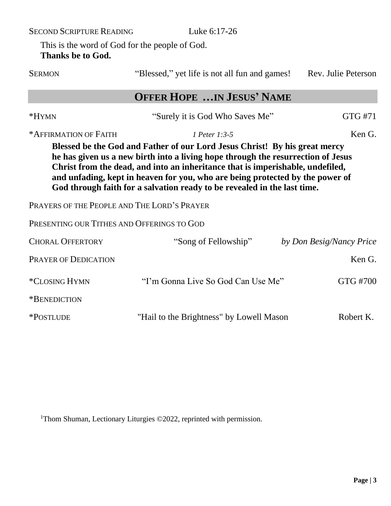SECOND SCRIPTURE READING Luke 6:17-26

This is the word of God for the people of God. **Thanks be to God.**

| <b>SERMON</b>                                                                                                                                                                                                                                                                                                                                                                                                 | "Blessed," yet life is not all fun and games!"<br>Rev. Julie Peterson |                          |  |  |
|---------------------------------------------------------------------------------------------------------------------------------------------------------------------------------------------------------------------------------------------------------------------------------------------------------------------------------------------------------------------------------------------------------------|-----------------------------------------------------------------------|--------------------------|--|--|
|                                                                                                                                                                                                                                                                                                                                                                                                               | <b>OFFER HOPE IN JESUS' NAME</b>                                      |                          |  |  |
| *HYMN                                                                                                                                                                                                                                                                                                                                                                                                         | "Surely it is God Who Saves Me"                                       | GTG #71                  |  |  |
| *AFFIRMATION OF FAITH                                                                                                                                                                                                                                                                                                                                                                                         | 1 Peter 1:3-5                                                         | Ken G.                   |  |  |
| Blessed be the God and Father of our Lord Jesus Christ! By his great mercy<br>he has given us a new birth into a living hope through the resurrection of Jesus<br>Christ from the dead, and into an inheritance that is imperishable, undefiled,<br>and unfading, kept in heaven for you, who are being protected by the power of<br>God through faith for a salvation ready to be revealed in the last time. |                                                                       |                          |  |  |
| PRAYERS OF THE PEOPLE AND THE LORD'S PRAYER                                                                                                                                                                                                                                                                                                                                                                   |                                                                       |                          |  |  |
| PRESENTING OUR TITHES AND OFFERINGS TO GOD                                                                                                                                                                                                                                                                                                                                                                    |                                                                       |                          |  |  |
| <b>CHORAL OFFERTORY</b>                                                                                                                                                                                                                                                                                                                                                                                       | "Song of Fellowship"                                                  | by Don Besig/Nancy Price |  |  |
| <b>PRAYER OF DEDICATION</b>                                                                                                                                                                                                                                                                                                                                                                                   |                                                                       | Ken G.                   |  |  |
| *CLOSING HYMN                                                                                                                                                                                                                                                                                                                                                                                                 | "I'm Gonna Live So God Can Use Me"                                    | GTG #700                 |  |  |
| *BENEDICTION                                                                                                                                                                                                                                                                                                                                                                                                  |                                                                       |                          |  |  |
| *POSTLUDE                                                                                                                                                                                                                                                                                                                                                                                                     | "Hail to the Brightness" by Lowell Mason                              | Robert K.                |  |  |

<sup>1</sup>Thom Shuman, Lectionary Liturgies ©2022, reprinted with permission.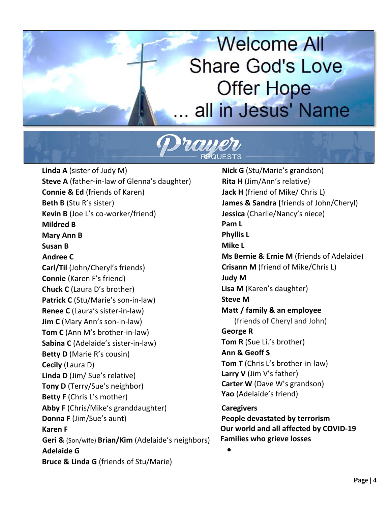# **Welcome All Share God's Love Offer Hope** all in Jesus' Name



**Linda A** (sister of Judy M) **Steve A** (father-in-law of Glenna's daughter) **Connie & Ed** (friends of Karen) **Beth B** (Stu R's sister) **Kevin B** (Joe L's co-worker/friend) **Mildred B Mary Ann B Susan B Andree C Carl/Til** (John/Cheryl's friends) **Connie** (Karen F's friend) **Chuck C** (Laura D's brother) **Patrick C** (Stu/Marie's son-in-law) **Renee C** (Laura's sister-in-law) **Jim C** (Mary Ann's son-in-law) **Tom C** (Ann M's brother-in-law) **Sabina C** (Adelaide's sister-in-law) **Betty D** (Marie R's cousin) **Cecily** (Laura D) **Linda D** (Jim/ Sue's relative) **Tony D** (Terry/Sue's neighbor) **Betty F** (Chris L's mother) **Abby F** (Chris/Mike's granddaughter) **Donna F** (Jim/Sue's aunt) **Karen F Geri &** (Son/wife) **Brian/Kim** (Adelaide's neighbors) **Adelaide G Bruce & Linda G** (friends of Stu/Marie)

**Nick G** (Stu/Marie's grandson) **Rita H** (Jim/Ann's relative) **Jack H** (friend of Mike/ Chris L) **James & Sandra (**friends of John/Cheryl) **Jessica** (Charlie/Nancy's niece) **Pam L Phyllis L Mike L Ms Bernie & Ernie M** (friends of Adelaide) **Crisann M** (friend of Mike/Chris L) **Judy M Lisa M** (Karen's daughter) **Steve M Matt / family & an employee** (friends of Cheryl and John) **George R Tom R** (Sue Li.'s brother) **Ann & Geoff S Tom T** (Chris L's brother-in-law) **Larry V** (Jim V's father) **Carter W** (Dave W's grandson) **Yao** (Adelaide's friend) **Caregivers People devastated by terrorism Our world and all affected by COVID-19 Families who grieve losses**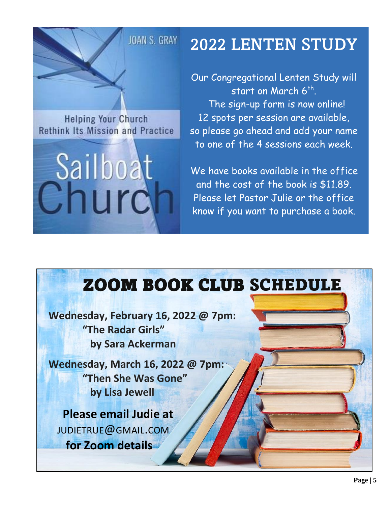## JOAN S. GRAY

## 2022 LENTEN STUDY

**Helping Your Church Rethink Its Mission and Practice** 



Our Congregational Lenten Study will start on March 6th. The sign-up form is now online! 12 spots per session are available, so please go ahead and add your name to one of the 4 sessions each week.

We have books available in the office and the cost of the book is \$11.89. Please let Pastor Julie or the office know if you want to purchase a book.

# ZOOM BOOK CLUB SCHEDULE

**Wednesday, February 16, 2022 @ 7pm: "The Radar Girls" by Sara Ackerman**

**Wednesday, March 16, 2022 @ 7pm: "Then She Was Gone" by Lisa Jewell**

 **Please email Judie at** [JUDIETRUE](mailto:judietrue@gmail.com)@GMAIL.COM  **for Zoom details**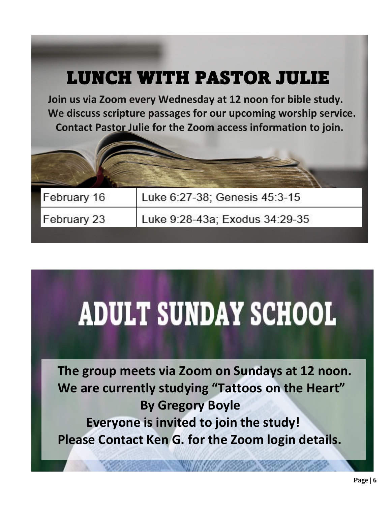## LUNCH WITH PASTOR JULIE

**Join us via Zoom every Wednesday at 12 noon for bible study. We discuss scripture passages for our upcoming worship service. Contact Pastor Julie for the Zoom access information to join.**

| February 16 | Luke 6:27-38; Genesis 45:3-15  |
|-------------|--------------------------------|
| February 23 | Luke 9:28-43a; Exodus 34:29-35 |

# **ADULT SUNDAY SCHOOL**

**The group meets via Zoom on Sundays at 12 noon. We are currently studying "Tattoos on the Heart" By Gregory Boyle Everyone is invited to join the study! Please Contact Ken G. for the Zoom login details.**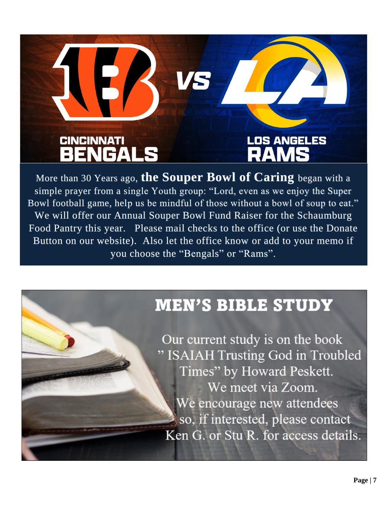

More than 30 Years ago, **the Souper Bowl of Caring** began with a simple prayer from a single Youth group: "Lord, even as we enjoy the Super Bowl football game, help us be mindful of those without a bowl of soup to eat." We will offer our Annual Souper Bowl Fund Raiser for the Schaumburg Food Pantry this year. Please mail checks to the office (or use the Donate Button on our website). Also let the office know or add to your memo if you choose the "Bengals" or "Rams".

## **MEN'S BIBLE STUDY**

Our current study is on the book " ISAIAH Trusting God in Troubled Times" by Howard Peskett. We meet via Zoom. We encourage new attendees so, if interested, please contact Ken G. or Stu R. for access details.